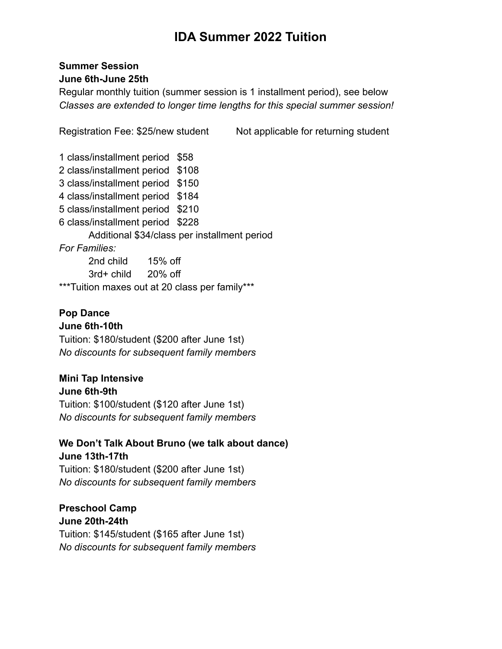# **IDA Summer 2022 Tuition**

### **Summer Session June 6th-June 25th**

Regular monthly tuition (summer session is 1 installment period), see below *Classes are extended to longer time lengths for this special summer session!*

Registration Fee: \$25/new student Not applicable for returning student

1 class/installment period \$58 2 class/installment period \$108 3 class/installment period \$150 4 class/installment period \$184 5 class/installment period \$210 6 class/installment period \$228 Additional \$34/class per installment period *For Families:* 2nd child 15% off 3rd+ child 20% off \*\*\*Tuition maxes out at 20 class per family\*\*\*

## **Pop Dance**

#### **June 6th-10th**

Tuition: \$180/student (\$200 after June 1st) *No discounts for subsequent family members*

### **Mini Tap Intensive**

**June 6th-9th** Tuition: \$100/student (\$120 after June 1st) *No discounts for subsequent family members*

#### **We Don't Talk About Bruno (we talk about dance) June 13th-17th**

Tuition: \$180/student (\$200 after June 1st) *No discounts for subsequent family members*

#### **Preschool Camp June 20th-24th**

Tuition: \$145/student (\$165 after June 1st) *No discounts for subsequent family members*